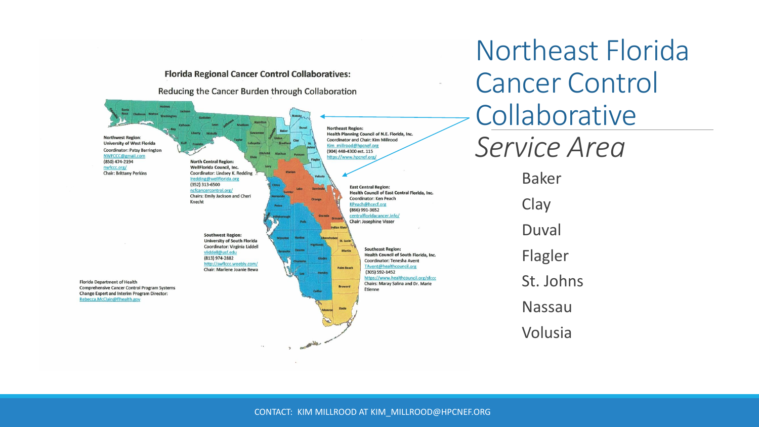

CONTACT: KIM MILLROOD AT KIM\_MILLROOD@HPCNEF.ORG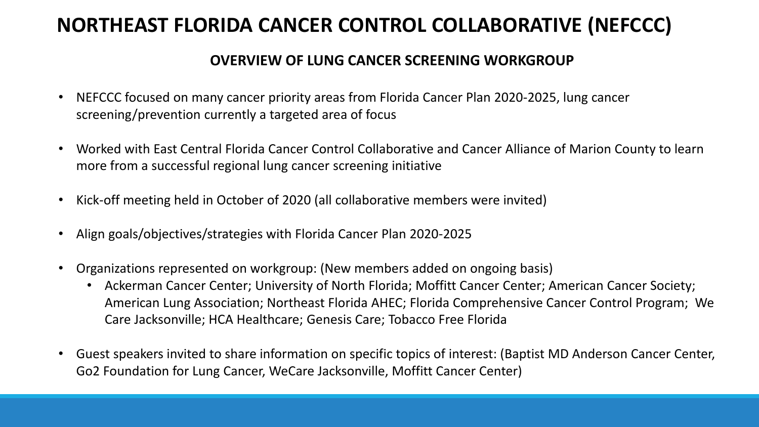### **NORTHEAST FLORIDA CANCER CONTROL COLLABORATIVE (NEFCCC)**

#### **OVERVIEW OF LUNG CANCER SCREENING WORKGROUP**

- NEFCCC focused on many cancer priority areas from Florida Cancer Plan 2020-2025, lung cancer screening/prevention currently a targeted area of focus
- Worked with East Central Florida Cancer Control Collaborative and Cancer Alliance of Marion County to learn more from a successful regional lung cancer screening initiative
- Kick-off meeting held in October of 2020 (all collaborative members were invited)
- Align goals/objectives/strategies with Florida Cancer Plan 2020-2025
- Organizations represented on workgroup: (New members added on ongoing basis)
	- Ackerman Cancer Center; University of North Florida; Moffitt Cancer Center; American Cancer Society; American Lung Association; Northeast Florida AHEC; Florida Comprehensive Cancer Control Program; We Care Jacksonville; HCA Healthcare; Genesis Care; Tobacco Free Florida
- Guest speakers invited to share information on specific topics of interest: (Baptist MD Anderson Cancer Center, Go2 Foundation for Lung Cancer, WeCare Jacksonville, Moffitt Cancer Center)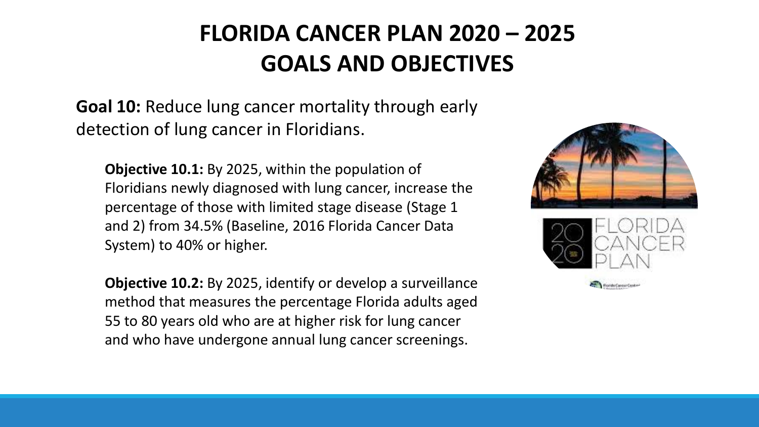## **FLORIDA CANCER PLAN 2020 – 2025 GOALS AND OBJECTIVES**

**Goal 10:** Reduce lung cancer mortality through early detection of lung cancer in Floridians.

**Objective 10.1:** By 2025, within the population of Floridians newly diagnosed with lung cancer, increase the percentage of those with limited stage disease (Stage 1 and 2) from 34.5% (Baseline, 2016 Florida Cancer Data System) to 40% or higher.

**Objective 10.2:** By 2025, identify or develop a surveillance method that measures the percentage Florida adults aged 55 to 80 years old who are at higher risk for lung cancer and who have undergone annual lung cancer screenings.

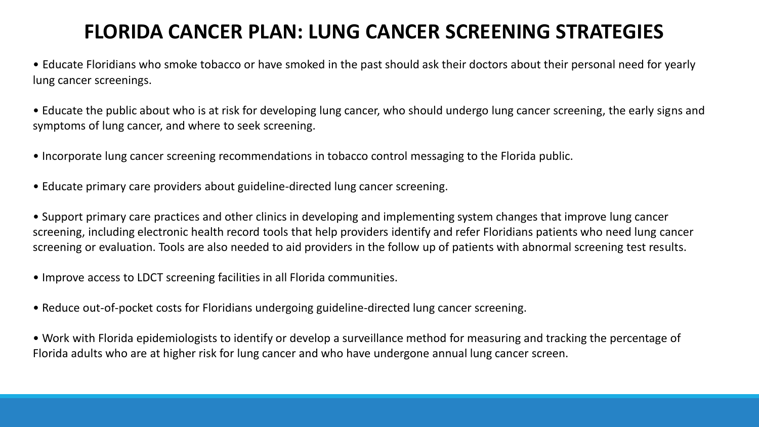### **FLORIDA CANCER PLAN: LUNG CANCER SCREENING STRATEGIES**

• Educate Floridians who smoke tobacco or have smoked in the past should ask their doctors about their personal need for yearly lung cancer screenings.

• Educate the public about who is at risk for developing lung cancer, who should undergo lung cancer screening, the early signs and symptoms of lung cancer, and where to seek screening.

- Incorporate lung cancer screening recommendations in tobacco control messaging to the Florida public.
- Educate primary care providers about guideline-directed lung cancer screening.

• Support primary care practices and other clinics in developing and implementing system changes that improve lung cancer screening, including electronic health record tools that help providers identify and refer Floridians patients who need lung cancer screening or evaluation. Tools are also needed to aid providers in the follow up of patients with abnormal screening test results.

• Improve access to LDCT screening facilities in all Florida communities.

• Reduce out-of-pocket costs for Floridians undergoing guideline-directed lung cancer screening.

• Work with Florida epidemiologists to identify or develop a surveillance method for measuring and tracking the percentage of Florida adults who are at higher risk for lung cancer and who have undergone annual lung cancer screen.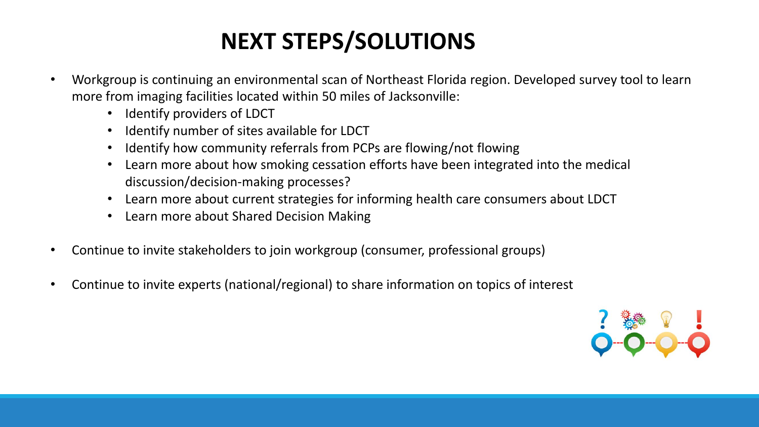# **NEXT STEPS/SOLUTIONS**

- Workgroup is continuing an environmental scan of Northeast Florida region. Developed survey tool to learn more from imaging facilities located within 50 miles of Jacksonville:
	- Identify providers of LDCT
	- Identify number of sites available for LDCT
	- Identify how community referrals from PCPs are flowing/not flowing
	- Learn more about how smoking cessation efforts have been integrated into the medical discussion/decision-making processes?
	- Learn more about current strategies for informing health care consumers about LDCT
	- Learn more about Shared Decision Making
- Continue to invite stakeholders to join workgroup (consumer, professional groups)
- Continue to invite experts (national/regional) to share information on topics of interest